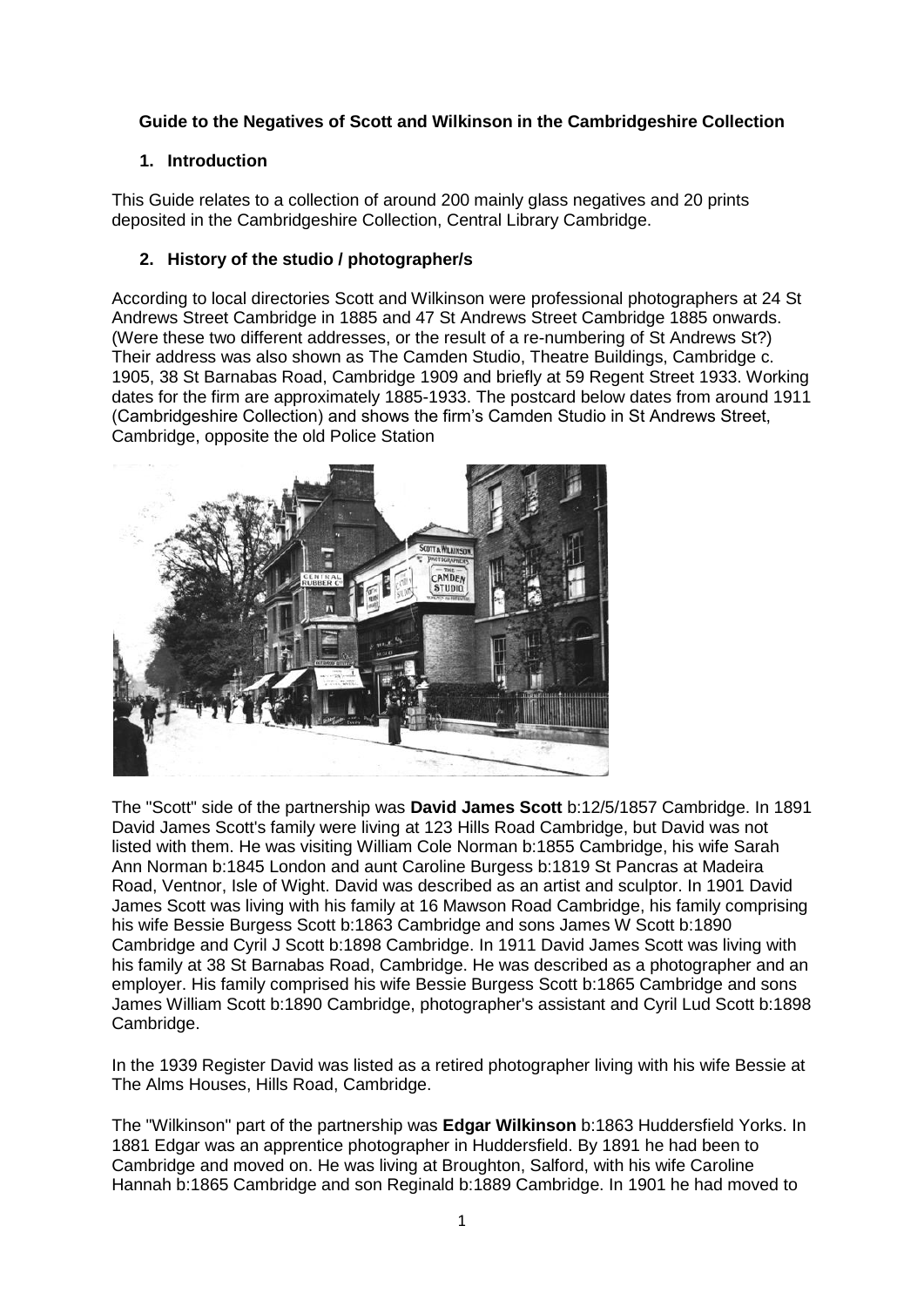# **Guide to the Negatives of Scott and Wilkinson in the Cambridgeshire Collection**

# **1. Introduction**

This Guide relates to a collection of around 200 mainly glass negatives and 20 prints deposited in the Cambridgeshire Collection, Central Library Cambridge.

### **2. History of the studio / photographer/s**

According to local directories Scott and Wilkinson were professional photographers at 24 St Andrews Street Cambridge in 1885 and 47 St Andrews Street Cambridge 1885 onwards. (Were these two different addresses, or the result of a re-numbering of St Andrews St?) Their address was also shown as The Camden Studio, Theatre Buildings, Cambridge c. 1905, 38 St Barnabas Road, Cambridge 1909 and briefly at 59 Regent Street 1933. Working dates for the firm are approximately 1885-1933. The postcard below dates from around 1911 (Cambridgeshire Collection) and shows the firm's Camden Studio in St Andrews Street, Cambridge, opposite the old Police Station



The "Scott" side of the partnership was **David James Scott** b:12/5/1857 Cambridge. In 1891 David James Scott's family were living at 123 Hills Road Cambridge, but David was not listed with them. He was visiting William Cole Norman b:1855 Cambridge, his wife Sarah Ann Norman b:1845 London and aunt Caroline Burgess b:1819 St Pancras at Madeira Road, Ventnor, Isle of Wight. David was described as an artist and sculptor. In 1901 David James Scott was living with his family at 16 Mawson Road Cambridge, his family comprising his wife Bessie Burgess Scott b:1863 Cambridge and sons James W Scott b:1890 Cambridge and Cyril J Scott b:1898 Cambridge. In 1911 David James Scott was living with his family at 38 St Barnabas Road, Cambridge. He was described as a photographer and an employer. His family comprised his wife Bessie Burgess Scott b:1865 Cambridge and sons James William Scott b:1890 Cambridge, photographer's assistant and Cyril Lud Scott b:1898 Cambridge.

In the 1939 Register David was listed as a retired photographer living with his wife Bessie at The Alms Houses, Hills Road, Cambridge.

The "Wilkinson" part of the partnership was **Edgar Wilkinson** b:1863 Huddersfield Yorks. In 1881 Edgar was an apprentice photographer in Huddersfield. By 1891 he had been to Cambridge and moved on. He was living at Broughton, Salford, with his wife Caroline Hannah b:1865 Cambridge and son Reginald b:1889 Cambridge. In 1901 he had moved to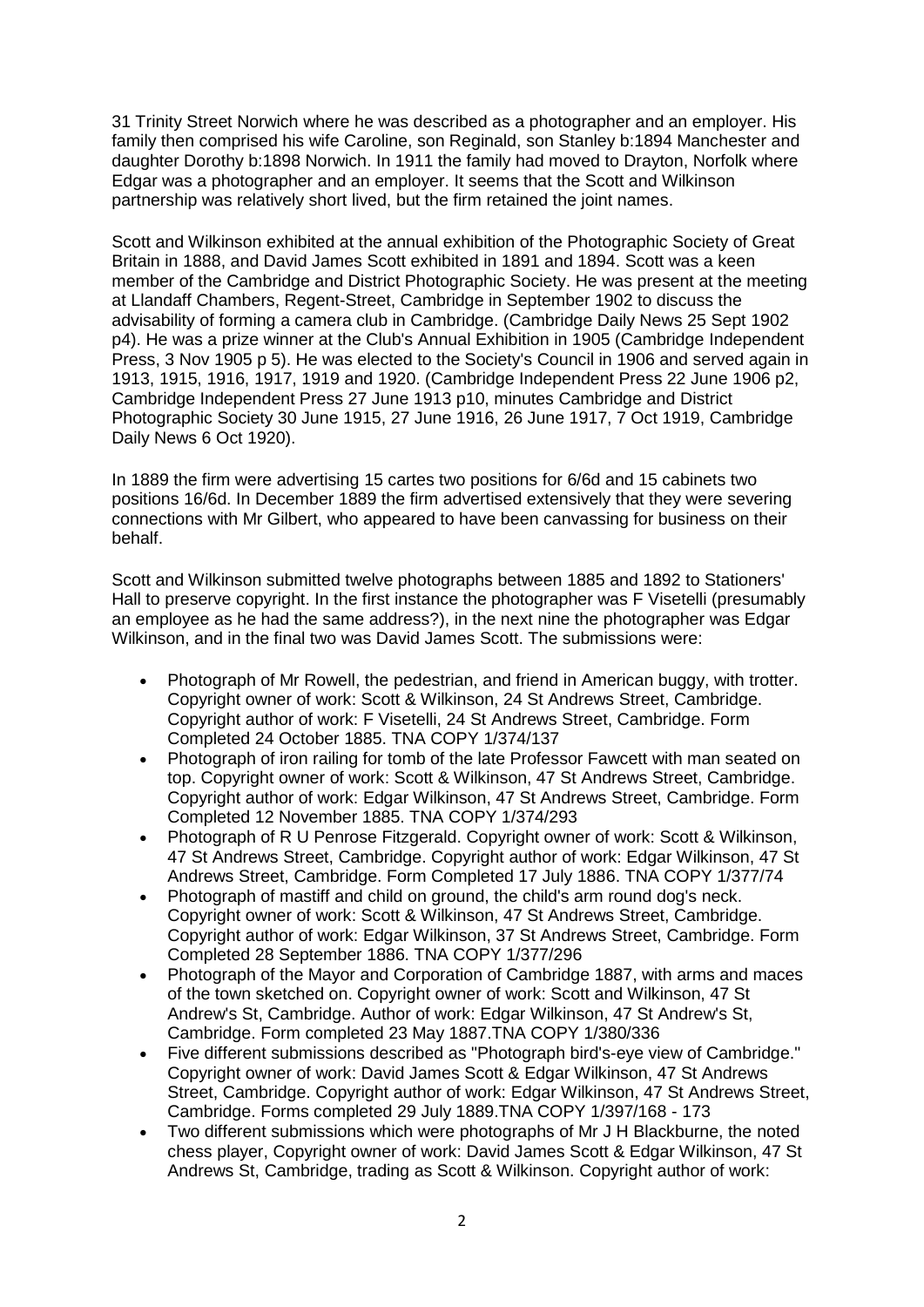31 Trinity Street Norwich where he was described as a photographer and an employer. His family then comprised his wife Caroline, son Reginald, son Stanley b:1894 Manchester and daughter Dorothy b:1898 Norwich. In 1911 the family had moved to Drayton, Norfolk where Edgar was a photographer and an employer. It seems that the Scott and Wilkinson partnership was relatively short lived, but the firm retained the joint names.

Scott and Wilkinson exhibited at the annual exhibition of the Photographic Society of Great Britain in 1888, and David James Scott exhibited in 1891 and 1894. Scott was a keen member of the Cambridge and District Photographic Society. He was present at the meeting at Llandaff Chambers, Regent-Street, Cambridge in September 1902 to discuss the advisability of forming a camera club in Cambridge. (Cambridge Daily News 25 Sept 1902 p4). He was a prize winner at the Club's Annual Exhibition in 1905 (Cambridge Independent Press, 3 Nov 1905 p 5). He was elected to the Society's Council in 1906 and served again in 1913, 1915, 1916, 1917, 1919 and 1920. (Cambridge Independent Press 22 June 1906 p2, Cambridge Independent Press 27 June 1913 p10, minutes Cambridge and District Photographic Society 30 June 1915, 27 June 1916, 26 June 1917, 7 Oct 1919, Cambridge Daily News 6 Oct 1920).

In 1889 the firm were advertising 15 cartes two positions for 6/6d and 15 cabinets two positions 16/6d. In December 1889 the firm advertised extensively that they were severing connections with Mr Gilbert, who appeared to have been canvassing for business on their behalf.

Scott and Wilkinson submitted twelve photographs between 1885 and 1892 to Stationers' Hall to preserve copyright. In the first instance the photographer was F Visetelli (presumably an employee as he had the same address?), in the next nine the photographer was Edgar Wilkinson, and in the final two was David James Scott. The submissions were:

- Photograph of Mr Rowell, the pedestrian, and friend in American buggy, with trotter. Copyright owner of work: Scott & Wilkinson, 24 St Andrews Street, Cambridge. Copyright author of work: F Visetelli, 24 St Andrews Street, Cambridge. Form Completed 24 October 1885. TNA COPY 1/374/137
- Photograph of iron railing for tomb of the late Professor Fawcett with man seated on top. Copyright owner of work: Scott & Wilkinson, 47 St Andrews Street, Cambridge. Copyright author of work: Edgar Wilkinson, 47 St Andrews Street, Cambridge. Form Completed 12 November 1885. TNA COPY 1/374/293
- Photograph of R U Penrose Fitzgerald. Copyright owner of work: Scott & Wilkinson, 47 St Andrews Street, Cambridge. Copyright author of work: Edgar Wilkinson, 47 St Andrews Street, Cambridge. Form Completed 17 July 1886. TNA COPY 1/377/74
- Photograph of mastiff and child on ground, the child's arm round dog's neck. Copyright owner of work: Scott & Wilkinson, 47 St Andrews Street, Cambridge. Copyright author of work: Edgar Wilkinson, 37 St Andrews Street, Cambridge. Form Completed 28 September 1886. TNA COPY 1/377/296
- Photograph of the Mayor and Corporation of Cambridge 1887, with arms and maces of the town sketched on. Copyright owner of work: Scott and Wilkinson, 47 St Andrew's St, Cambridge. Author of work: Edgar Wilkinson, 47 St Andrew's St, Cambridge. Form completed 23 May 1887.TNA COPY 1/380/336
- Five different submissions described as "Photograph bird's-eye view of Cambridge." Copyright owner of work: David James Scott & Edgar Wilkinson, 47 St Andrews Street, Cambridge. Copyright author of work: Edgar Wilkinson, 47 St Andrews Street, Cambridge. Forms completed 29 July 1889.TNA COPY 1/397/168 - 173
- Two different submissions which were photographs of Mr J H Blackburne, the noted chess player, Copyright owner of work: David James Scott & Edgar Wilkinson, 47 St Andrews St, Cambridge, trading as Scott & Wilkinson. Copyright author of work: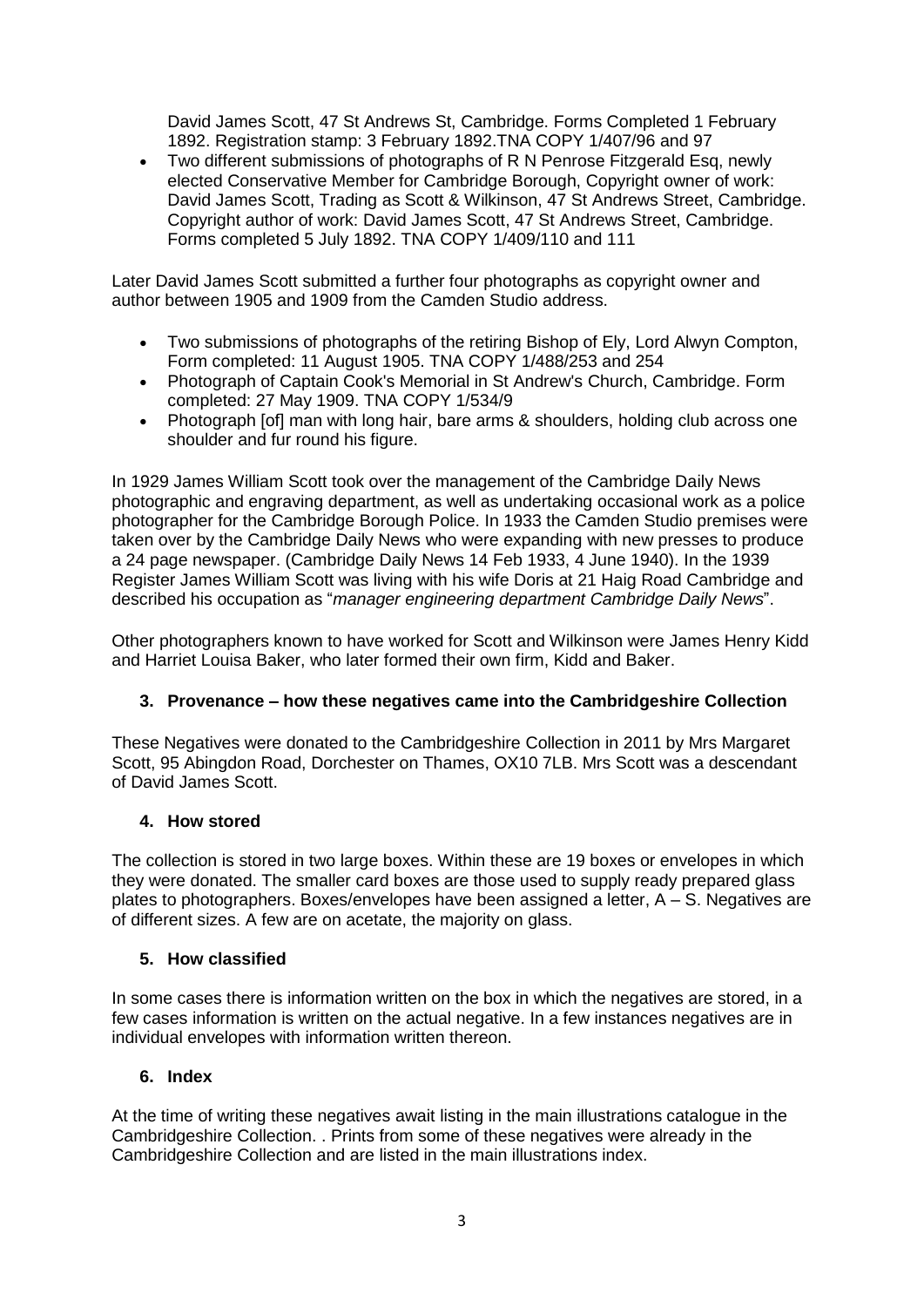David James Scott, 47 St Andrews St, Cambridge. Forms Completed 1 February 1892. Registration stamp: 3 February 1892.TNA COPY 1/407/96 and 97

 Two different submissions of photographs of R N Penrose Fitzgerald Esq, newly elected Conservative Member for Cambridge Borough, Copyright owner of work: David James Scott, Trading as Scott & Wilkinson, 47 St Andrews Street, Cambridge. Copyright author of work: David James Scott, 47 St Andrews Street, Cambridge. Forms completed 5 July 1892. TNA COPY 1/409/110 and 111

Later David James Scott submitted a further four photographs as copyright owner and author between 1905 and 1909 from the Camden Studio address.

- Two submissions of photographs of the retiring Bishop of Ely, Lord Alwyn Compton, Form completed: 11 August 1905. TNA COPY 1/488/253 and 254
- Photograph of Captain Cook's Memorial in St Andrew's Church, Cambridge. Form completed: 27 May 1909. TNA COPY 1/534/9
- Photograph [of] man with long hair, bare arms & shoulders, holding club across one shoulder and fur round his figure.

In 1929 James William Scott took over the management of the Cambridge Daily News photographic and engraving department, as well as undertaking occasional work as a police photographer for the Cambridge Borough Police. In 1933 the Camden Studio premises were taken over by the Cambridge Daily News who were expanding with new presses to produce a 24 page newspaper. (Cambridge Daily News 14 Feb 1933, 4 June 1940). In the 1939 Register James William Scott was living with his wife Doris at 21 Haig Road Cambridge and described his occupation as "*manager engineering department Cambridge Daily News*".

Other photographers known to have worked for Scott and Wilkinson were James Henry Kidd and Harriet Louisa Baker, who later formed their own firm, Kidd and Baker.

#### **3. Provenance – how these negatives came into the Cambridgeshire Collection**

These Negatives were donated to the Cambridgeshire Collection in 2011 by Mrs Margaret Scott, 95 Abingdon Road, Dorchester on Thames, OX10 7LB. Mrs Scott was a descendant of David James Scott.

#### **4. How stored**

The collection is stored in two large boxes. Within these are 19 boxes or envelopes in which they were donated. The smaller card boxes are those used to supply ready prepared glass plates to photographers. Boxes/envelopes have been assigned a letter, A – S. Negatives are of different sizes. A few are on acetate, the majority on glass.

#### **5. How classified**

In some cases there is information written on the box in which the negatives are stored, in a few cases information is written on the actual negative. In a few instances negatives are in individual envelopes with information written thereon.

#### **6. Index**

At the time of writing these negatives await listing in the main illustrations catalogue in the Cambridgeshire Collection. . Prints from some of these negatives were already in the Cambridgeshire Collection and are listed in the main illustrations index.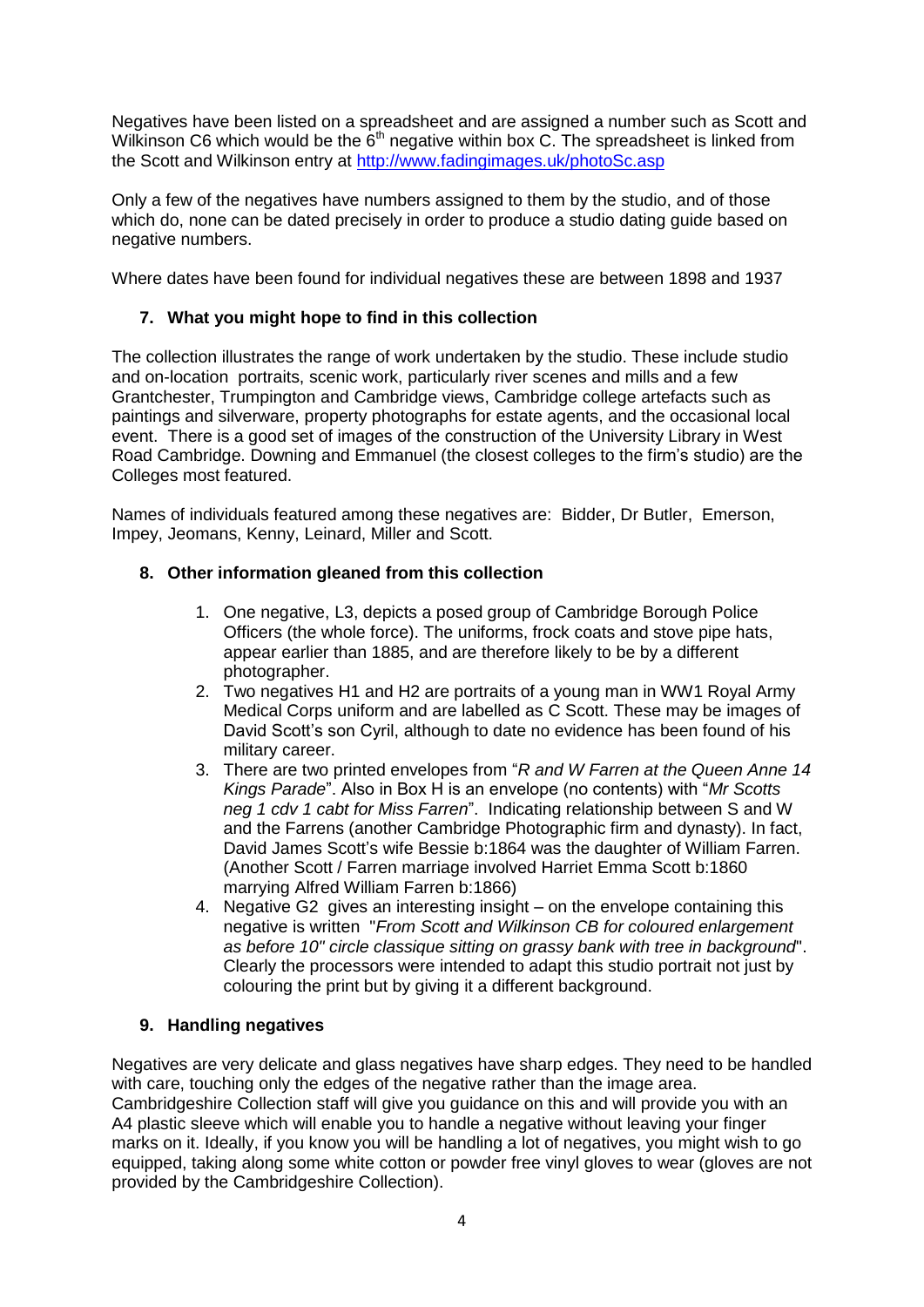Negatives have been listed on a spreadsheet and are assigned a number such as Scott and Wilkinson C6 which would be the  $6<sup>th</sup>$  negative within box C. The spreadsheet is linked from the Scott and Wilkinson entry at<http://www.fadingimages.uk/photoSc.asp>

Only a few of the negatives have numbers assigned to them by the studio, and of those which do, none can be dated precisely in order to produce a studio dating guide based on negative numbers.

Where dates have been found for individual negatives these are between 1898 and 1937

# **7. What you might hope to find in this collection**

The collection illustrates the range of work undertaken by the studio. These include studio and on-location portraits, scenic work, particularly river scenes and mills and a few Grantchester, Trumpington and Cambridge views, Cambridge college artefacts such as paintings and silverware, property photographs for estate agents, and the occasional local event. There is a good set of images of the construction of the University Library in West Road Cambridge. Downing and Emmanuel (the closest colleges to the firm's studio) are the Colleges most featured.

Names of individuals featured among these negatives are: Bidder, Dr Butler, Emerson, Impey, Jeomans, Kenny, Leinard, Miller and Scott.

### **8. Other information gleaned from this collection**

- 1. One negative, L3, depicts a posed group of Cambridge Borough Police Officers (the whole force). The uniforms, frock coats and stove pipe hats, appear earlier than 1885, and are therefore likely to be by a different photographer.
- 2. Two negatives H1 and H2 are portraits of a young man in WW1 Royal Army Medical Corps uniform and are labelled as C Scott. These may be images of David Scott's son Cyril, although to date no evidence has been found of his military career.
- 3. There are two printed envelopes from "*R and W Farren at the Queen Anne 14 Kings Parade*". Also in Box H is an envelope (no contents) with "*Mr Scotts neg 1 cdv 1 cabt for Miss Farren*". Indicating relationship between S and W and the Farrens (another Cambridge Photographic firm and dynasty). In fact, David James Scott's wife Bessie b:1864 was the daughter of William Farren. (Another Scott / Farren marriage involved Harriet Emma Scott b:1860 marrying Alfred William Farren b:1866)
- 4. Negative G2 gives an interesting insight on the envelope containing this negative is written "*From Scott and Wilkinson CB for coloured enlargement as before 10" circle classique sitting on grassy bank with tree in background*". Clearly the processors were intended to adapt this studio portrait not just by colouring the print but by giving it a different background.

# **9. Handling negatives**

Negatives are very delicate and glass negatives have sharp edges. They need to be handled with care, touching only the edges of the negative rather than the image area. Cambridgeshire Collection staff will give you guidance on this and will provide you with an A4 plastic sleeve which will enable you to handle a negative without leaving your finger marks on it. Ideally, if you know you will be handling a lot of negatives, you might wish to go equipped, taking along some white cotton or powder free vinyl gloves to wear (gloves are not provided by the Cambridgeshire Collection).